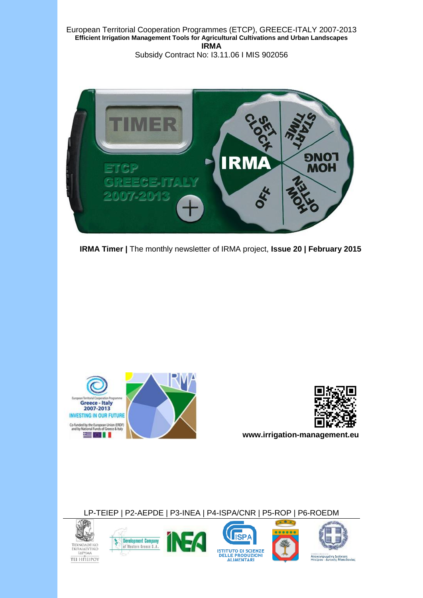

**IRMA Timer |** The monthly newsletter of IRMA project, **Issue 20 | February 2015**





**www.irrigation-management.eu**









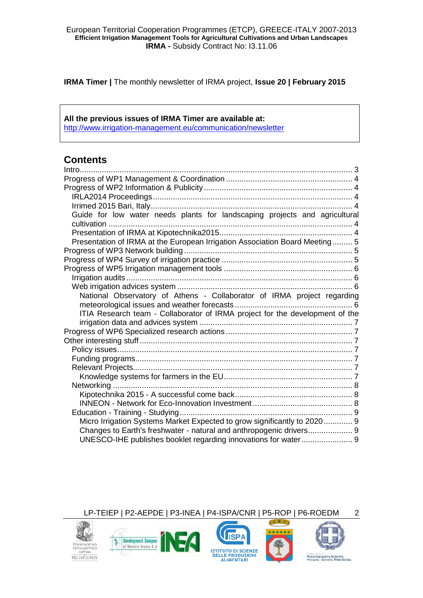**IRMA Timer |** The monthly newsletter of IRMA project, **Issue 20 | February 2015**

### **All the previous issues of IRMA Timer are available at:**

<http://www.irrigation-management.eu/communication/newsletter>

### **Contents**

| Guide for low water needs plants for landscaping projects and agricultural   |  |
|------------------------------------------------------------------------------|--|
|                                                                              |  |
|                                                                              |  |
| Presentation of IRMA at the European Irrigation Association Board Meeting 5  |  |
|                                                                              |  |
|                                                                              |  |
|                                                                              |  |
|                                                                              |  |
|                                                                              |  |
| National Observatory of Athens - Collaborator of IRMA project regarding      |  |
|                                                                              |  |
| ITIA Research team - Collaborator of IRMA project for the development of the |  |
|                                                                              |  |
|                                                                              |  |
|                                                                              |  |
|                                                                              |  |
|                                                                              |  |
|                                                                              |  |
|                                                                              |  |
|                                                                              |  |
|                                                                              |  |
|                                                                              |  |
|                                                                              |  |
| Micro Irrigation Systems Market Expected to grow significantly to 2020 9     |  |
| Changes to Earth's freshwater - natural and anthropogenic drivers 9          |  |
|                                                                              |  |

LP-TEIEP | P2-AEPDE | P3-INEA | P4-ISPA/CNR | P5-ROP | P6-ROEDM 2









 $\overline{\mathbf{a}}$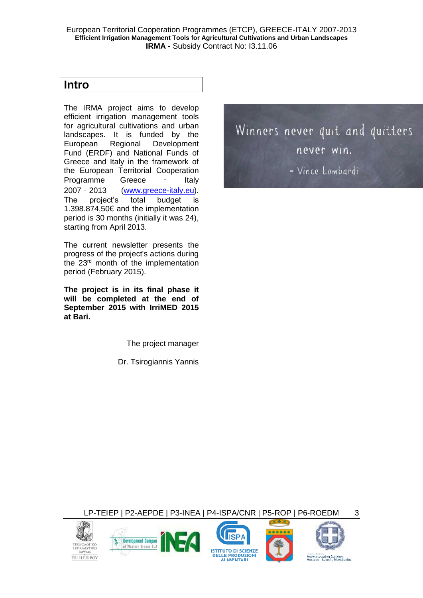### <span id="page-2-0"></span>**Intro**

The IRMA project aims to develop efficient irrigation management tools for agricultural cultivations and urban landscapes. It is funded by the European Regional Development Fund (ERDF) and National Funds of Greece and Italy in the framework of the European Territorial Cooperation Programme Greece - Italy 2007‐2013 [\(www.greece-italy.eu\)](http://www.greece-italy.eu/). The project's total budget is 1.398.874,50€ and the implementation period is 30 months (initially it was 24), starting from April 2013.

The current newsletter presents the progress of the project's actions during the 23rd month of the implementation period (February 2015).

**The project is in its final phase it will be completed at the end of September 2015 with IrriMED 2015 at Bari.**

The project manager

Dr. Tsirogiannis Yannis









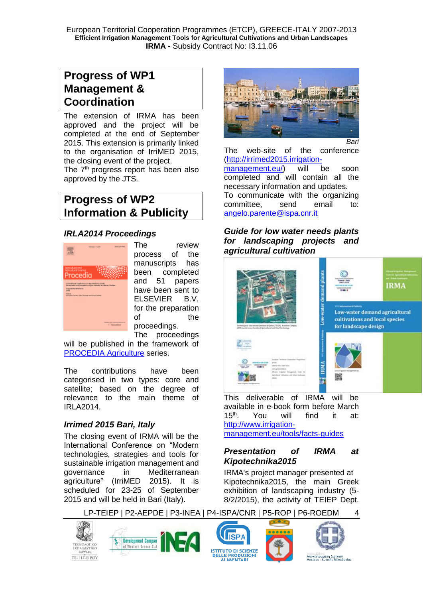# <span id="page-3-0"></span>**Progress of WP1 Management & Coordination**

The extension of IRMA has been approved and the project will be completed at the end of September 2015. This extension is primarily linked to the organisation of IrriMED 2015, the closing event of the project.

The  $7<sup>th</sup>$  progress report has been also approved by the JTS.

# <span id="page-3-1"></span>**Progress of WP2 Information & Publicity**

### <span id="page-3-2"></span>*IRLA2014 Proceedings*



The review process of the manuscripts has been completed and 51 papers have been sent to ELSEVIER B.V. for the preparation of the proceedings.

The proceedings will be published in the framework of [PROCEDIA Agriculture](http://www.journals.elsevier.com/agriculture-and-agricultural-science-procedia) series.

The contributions have been categorised in two types: core and satellite; based on the degree of relevance to the main theme of IRLA2014.

### <span id="page-3-3"></span>*Irrimed 2015 Bari, Italy*

The closing event of IRMA will be the International Conference on "Modern technologies, strategies and tools for sustainable irrigation management and governance in Mediterranean agriculture" (IrriMED 2015). It is scheduled for 23-25 of September 2015 and will be held in Bari (Italy).



The web-site of the conference [\(http://irrimed2015.irrigation](http://irrimed2015.irrigation-management.eu/)[management.eu/\)](http://irrimed2015.irrigation-management.eu/) will be soon completed and will contain all the necessary information and updates. To communicate with the organizing committee, send email to: <angelo.parente@ispa.cnr.it>

<span id="page-3-4"></span>*Guide for low water needs plants for landscaping projects and agricultural cultivation*



This deliverable of IRMA will be available in e-book form before March  $15<sup>th</sup>$ . You will find it at: [http://www.irrigation](http://www.irrigation-management.eu/tools/facts-guides)[management.eu/tools/facts-guides](http://www.irrigation-management.eu/tools/facts-guides)

### <span id="page-3-5"></span>*Presentation of IRMA at Kipotechnika2015*

IRMA's project manager presented at Kipotechnika2015, the main Greek exhibition of landscaping industry (5- 8/2/2015), the activity of TEIEP Dept.







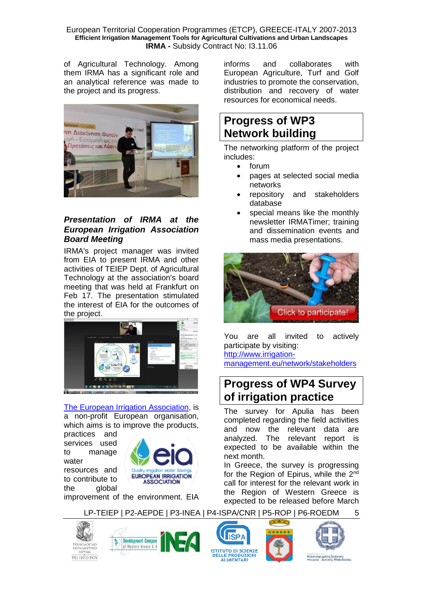of Agricultural Technology. Among them IRMA has a significant role and an analytical reference was made to the project and its progress.



### <span id="page-4-0"></span>*Presentation of IRMA at the European Irrigation Association Board Meeting*

IRMA's project manager was invited from EIA to present IRMA and other activities of TEIEP Dept. of Agricultural Technology at the association's board meeting that was held at Frankfurt on Feb 17. The presentation stimulated the interest of EIA for the outcomes of the project.



[The European Irrigation Association,](http://irrigationeurope.eu/) is a non-profit European organisation,

which aims is to improve the products. practices and

services used to manage water resources and to contribute to the global



improvement of the environment. EIA

informs and collaborates with European Agriculture, Turf and Golf industries to promote the conservation, distribution and recovery of water resources for economical needs.

# <span id="page-4-1"></span>**Progress of WP3 Network building**

The networking platform of the project includes:

- $\bullet$  forum
- pages at selected social media networks
- repository and stakeholders database
- special means like the monthly newsletter IRMATimer; training and dissemination events and mass media presentations.



You are all invited to actively participate by visiting: [http://www.irrigation](http://www.irrigation-management.eu/network/stakeholders)[management.eu/network/stakeholders](http://www.irrigation-management.eu/network/stakeholders)

# <span id="page-4-2"></span>**Progress of WP4 Survey of irrigation practice**

The survey for Apulia has been completed regarding the field activities and now the relevant data are analyzed. The relevant report is expected to be available within the next month.

In Greece, the survey is progressing for the Region of Epirus, while the 2<sup>nd</sup> call for interest for the relevant work in the Region of Western Greece is expected to be released before March







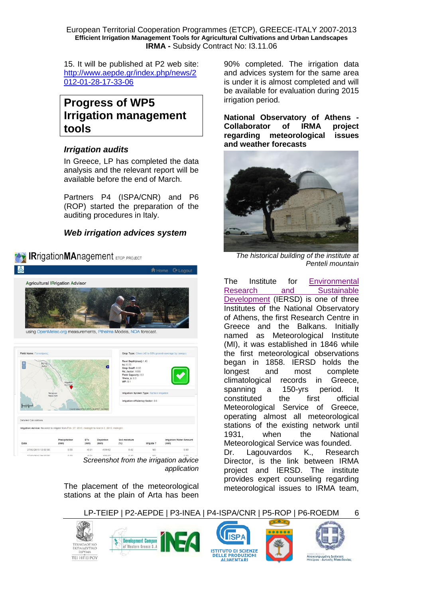15. It will be published at P2 web site: [http://www.aepde.gr/index.php/news/2](http://www.aepde.gr/index.php/news/2012-01-28-17-33-06) [012-01-28-17-33-06](http://www.aepde.gr/index.php/news/2012-01-28-17-33-06)

### <span id="page-5-0"></span>**Progress of WP5 Irrigation management tools**

### <span id="page-5-1"></span>*Irrigation audits*

In Greece, LP has completed the data analysis and the relevant report will be available before the end of March.

Partners P4 (ISPA/CNR) and P6 (ROP) started the preparation of the auditing procedures in Italy.

### <span id="page-5-2"></span>*Web irrigation advices system*

**XXXI IRrigationMAnagement** ETCP\_PROJECT



*Screenshot from the irrigation advice application*

The placement of the meteorological stations at the plain of Arta has been 90% completed. The irrigation data and advices system for the same area is under it is almost completed and will be available for evaluation during 2015 irrigation period.

<span id="page-5-3"></span>**National Observatory of Athens - Collaborator of IRMA project regarding meteorological issues and weather forecasts** 



*The historical building of the institute at Penteli mountain*

The Institute for [Environmental](http://www.meteo.noa.gr/index.html)  Research and Sustainable [Development](http://www.meteo.noa.gr/index.html) (IERSD) is one of three Institutes of the National Observatory of Athens, the first Research Centre in Greece and the Balkans. Initially named as Meteorological Institute (MI), it was established in 1846 while the first meteorological observations began in 1858. IERSD holds the longest and most complete climatological records in Greece, spanning a 150-yrs period. It constituted the first official Meteorological Service of Greece, operating almost all meteorological stations of the existing network until 1931, when the National Meteorological Service was founded. Dr. Lagouvardos K., Research Director, is the link between IRMA project and IERSD. The institute provides expert counseling regarding meteorological issues to IRMA team,

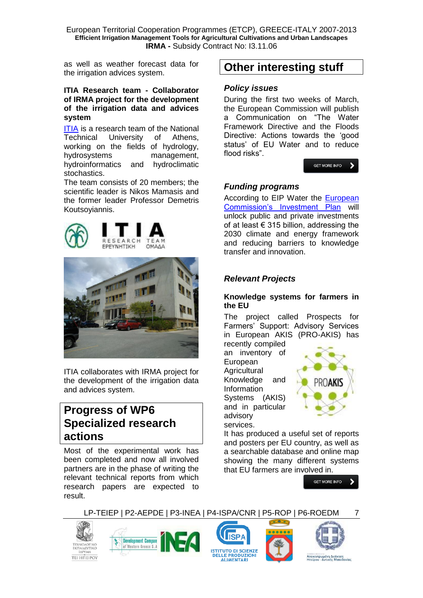as well as weather forecast data for the irrigation advices system.

#### <span id="page-6-0"></span>**ITIA Research team - Collaborator of IRMA project for the development of the irrigation data and advices system**

[ITIA](http://www.itia.ntua.gr/en/) is a research team of the National Technical University of Athens, working on the fields of hydrology, hydrosystems management, hydroinformatics and hydroclimatic stochastics.

The team consists of 20 members; the scientific leader is Nikos Mamasis and the former leader Professor Demetris Koutsoyiannis.





ITIA collaborates with IRMA project for the development of the irrigation data and advices system.

# <span id="page-6-1"></span>**Progress of WP6 Specialized research actions**

Most of the experimental work has been completed and now all involved partners are in the phase of writing the relevant technical reports from which research papers are expected to result.

# <span id="page-6-2"></span>**Other interesting stuff**

#### <span id="page-6-3"></span>*Policy issues*

During the first two weeks of March, the European Commission will publish a Communication on "The Water Framework Directive and the Floods Directive: Actions towards the 'good status' of EU Water and to reduce flood risks".



### <span id="page-6-4"></span>*Funding programs*

According to EIP Water the [European](http://ec.europa.eu/priorities/jobs-growth-investment/plan/index_en.htm?utm_source=Newsletter&utm_campaign=d4ad6a27e1-EIP_Water_Newsletter_19_February_20152_11_2015&utm_medium=email&utm_term=0_3e93b3d164-d4ad6a27e1-77341533)  [Commission's Investment Plan](http://ec.europa.eu/priorities/jobs-growth-investment/plan/index_en.htm?utm_source=Newsletter&utm_campaign=d4ad6a27e1-EIP_Water_Newsletter_19_February_20152_11_2015&utm_medium=email&utm_term=0_3e93b3d164-d4ad6a27e1-77341533) will unlock public and private investments of at least  $\epsilon$  315 billion, addressing the 2030 climate and energy framework and reducing barriers to knowledge transfer and innovation.

### <span id="page-6-5"></span>*Relevant Projects*

#### <span id="page-6-6"></span>**Knowledge systems for farmers in the EU**

The project called Prospects for Farmers' Support: Advisory Services in European AKIS (PRO-AKIS) has recently compiled

an inventory of European **Agricultural** Knowledge and Information Systems (AKIS) and in particular advisory services.



It has produced a useful set of reports and posters per EU country, as well as a searchable database and online map showing the many different systems that EU farmers are involved in.

**GET MORE INFO** 







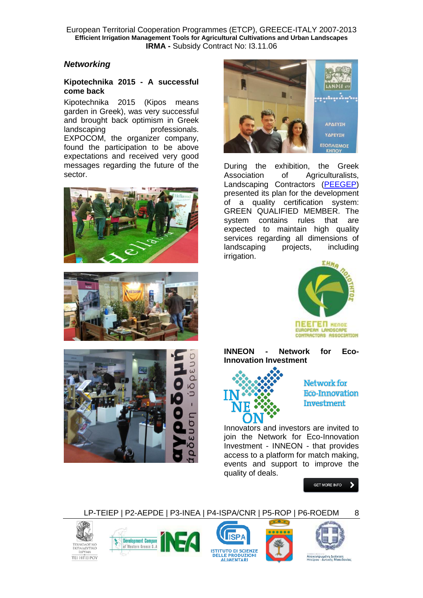### <span id="page-7-0"></span>*Networking*

#### <span id="page-7-1"></span>**Kipotechnika 2015 - A successful come back**

Kipotechnika 2015 (Kipos means garden in Greek), was very successful and brought back optimism in Greek landscaping professionals. EXPOCOM, the organizer company, found the participation to be above expectations and received very good messages regarding the future of the sector.









During the exhibition, the Greek Association of Agriculturalists, Landscaping Contractors [\(PEEGEP\)](http://www.peegep.gr/) presented its plan for the development of a quality certification system: GREEN QUALIFIED MEMBER. The system contains rules that are expected to maintain high quality services regarding all dimensions of landscaping projects, including irrigation.



<span id="page-7-2"></span>**INNEON - Network for Eco-Innovation Investment**



Network for **Eco-Innovation Investment** 

Innovators and investors are invited to join the Network for Eco-Innovation Investment - INNEON - that provides access to a platform for match making, events and support to improve the quality of deals.

**GET MORE INFO**